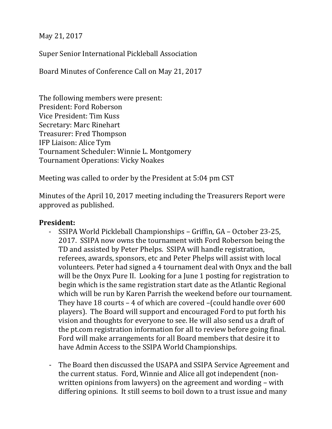May 21, 2017

Super Senior International Pickleball Association

Board Minutes of Conference Call on May 21, 2017

The following members were present: President: Ford Roberson Vice President: Tim Kuss Secretary: Marc Rinehart Treasurer: Fred Thompson IFP Liaison: Alice Tym Tournament Scheduler: Winnie L. Montgomery Tournament Operations: Vicky Noakes

Meeting was called to order by the President at 5:04 pm CST

Minutes of the April 10, 2017 meeting including the Treasurers Report were approved as published.

#### **President:**

- SSIPA World Pickleball Championships Griffin, GA October 23-25, 2017. SSIPA now owns the tournament with Ford Roberson being the TD and assisted by Peter Phelps. SSIPA will handle registration, referees, awards, sponsors, etc and Peter Phelps will assist with local volunteers. Peter had signed a 4 tournament deal with Onyx and the ball will be the Onyx Pure II. Looking for a June 1 posting for registration to begin which is the same registration start date as the Atlantic Regional which will be run by Karen Parrish the weekend before our tournament. They have 18 courts – 4 of which are covered –(could handle over 600 players). The Board will support and encouraged Ford to put forth his vision and thoughts for everyone to see. He will also send us a draft of the pt.com registration information for all to review before going final. Ford will make arrangements for all Board members that desire it to have Admin Access to the SSIPA World Championships.
- The Board then discussed the USAPA and SSIPA Service Agreement and the current status. Ford, Winnie and Alice all got independent (nonwritten opinions from lawyers) on the agreement and wording – with differing opinions. It still seems to boil down to a trust issue and many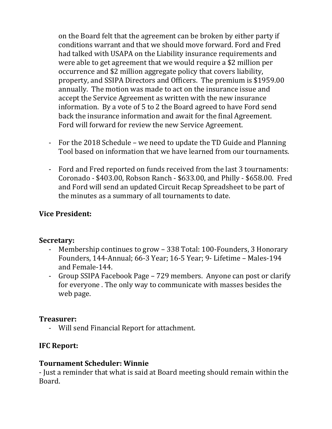on the Board felt that the agreement can be broken by either party if conditions warrant and that we should move forward. Ford and Fred had talked with USAPA on the Liability insurance requirements and were able to get agreement that we would require a \$2 million per occurrence and \$2 million aggregate policy that covers liability, property, and SSIPA Directors and Officers. The premium is \$1959.00 annually. The motion was made to act on the insurance issue and accept the Service Agreement as written with the new insurance information. By a vote of 5 to 2 the Board agreed to have Ford send back the insurance information and await for the final Agreement. Ford will forward for review the new Service Agreement.

- For the 2018 Schedule we need to update the TD Guide and Planning Tool based on information that we have learned from our tournaments.
- Ford and Fred reported on funds received from the last 3 tournaments: Coronado - \$403.00, Robson Ranch - \$633.00, and Philly - \$658.00. Fred and Ford will send an updated Circuit Recap Spreadsheet to be part of the minutes as a summary of all tournaments to date.

## **Vice President:**

## **Secretary:**

- Membership continues to grow 338 Total: 100-Founders, 3 Honorary Founders, 144-Annual; 66-3 Year; 16-5 Year; 9- Lifetime – Males-194 and Female-144.
- Group SSIPA Facebook Page 729 members. Anyone can post or clarify for everyone . The only way to communicate with masses besides the web page.

## **Treasurer:**

- Will send Financial Report for attachment.

## **IFC Report:**

## **Tournament Scheduler: Winnie**

- Just a reminder that what is said at Board meeting should remain within the Board.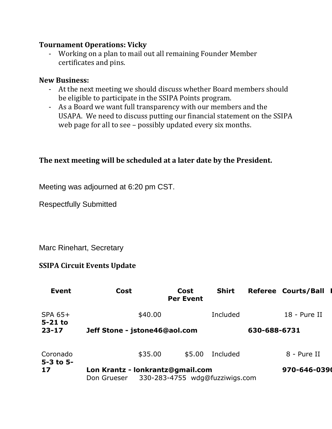#### **Tournament Operations: Vicky**

- Working on a plan to mail out all remaining Founder Member certificates and pins.

#### **New Business:**

- At the next meeting we should discuss whether Board members should be eligible to participate in the SSIPA Points program.
- As a Board we want full transparency with our members and the USAPA. We need to discuss putting our financial statement on the SSIPA web page for all to see – possibly updated every six months.

# **The next meeting will be scheduled at a later date by the President.**

Meeting was adjourned at 6:20 pm CST.

Respectfully Submitted

Marc Rinehart, Secretary

## **SSIPA Circuit Events Update**

| Event                             | <b>Cost</b>                                                                       | Cost<br><b>Per Event</b> | <b>Shirt</b> |  | <b>Referee Courts/Ball</b> |
|-----------------------------------|-----------------------------------------------------------------------------------|--------------------------|--------------|--|----------------------------|
| SPA 65+<br>$5-21$ to<br>$23 - 17$ | \$40.00                                                                           |                          | Included     |  | 18 - Pure II               |
|                                   | Jeff Stone - jstone46@aol.com                                                     |                          |              |  | 630-688-6731               |
| Coronado<br>$5 - 3$ to $5 -$      | \$35.00                                                                           | \$5.00                   | Included     |  | 8 - Pure II                |
| 17                                | Lon Krantz - lonkrantz@gmail.com<br>330-283-4755 wdg@fuzziwigs.com<br>Don Grueser | 970-646-0390             |              |  |                            |